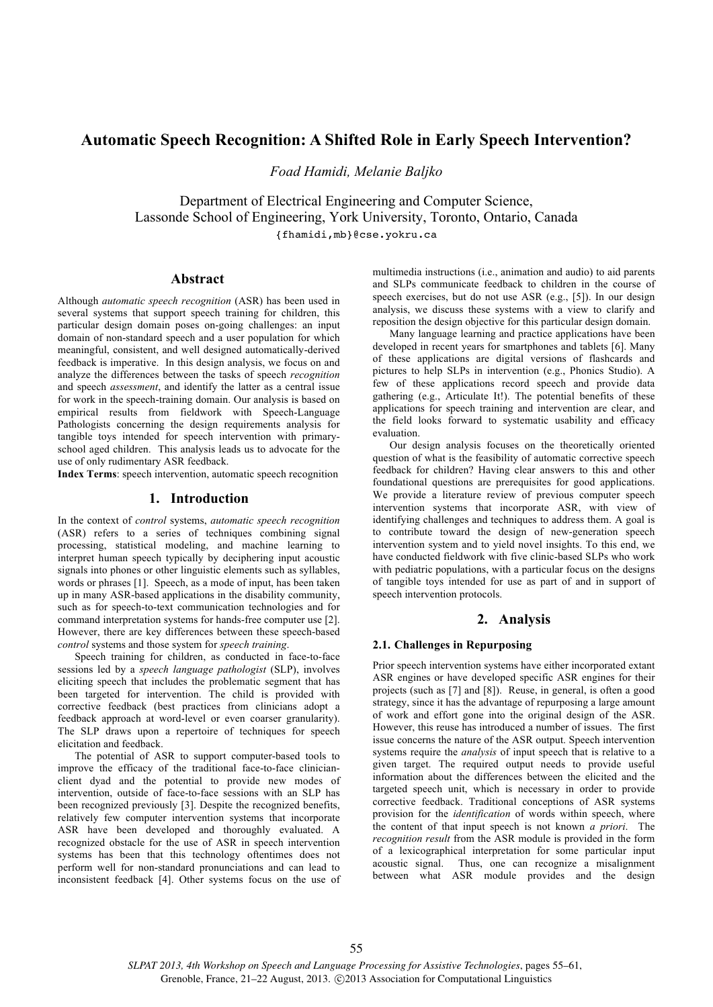# **Automatic Speech Recognition: A Shifted Role in Early Speech Intervention?**

*Foad Hamidi, Melanie Baljko*

Department of Electrical Engineering and Computer Science, Lassonde School of Engineering, York University, Toronto, Ontario, Canada {fhamidi,mb}@cse.yokru.ca

# **Abstract**

Although *automatic speech recognition* (ASR) has been used in several systems that support speech training for children, this particular design domain poses on-going challenges: an input domain of non-standard speech and a user population for which meaningful, consistent, and well designed automatically-derived feedback is imperative. In this design analysis, we focus on and analyze the differences between the tasks of speech *recognition*  and speech *assessment*, and identify the latter as a central issue for work in the speech-training domain. Our analysis is based on empirical results from fieldwork with Speech-Language Pathologists concerning the design requirements analysis for tangible toys intended for speech intervention with primaryschool aged children. This analysis leads us to advocate for the use of only rudimentary ASR feedback.

**Index Terms**: speech intervention, automatic speech recognition

# **1. Introduction**

In the context of *control* systems, *automatic speech recognition* (ASR) refers to a series of techniques combining signal processing, statistical modeling, and machine learning to interpret human speech typically by deciphering input acoustic signals into phones or other linguistic elements such as syllables, words or phrases [1]. Speech, as a mode of input, has been taken up in many ASR-based applications in the disability community, such as for speech-to-text communication technologies and for command interpretation systems for hands-free computer use [2]. However, there are key differences between these speech-based *control* systems and those system for *speech training*.

Speech training for children, as conducted in face-to-face sessions led by a *speech language pathologist* (SLP), involves eliciting speech that includes the problematic segment that has been targeted for intervention. The child is provided with corrective feedback (best practices from clinicians adopt a feedback approach at word-level or even coarser granularity). The SLP draws upon a repertoire of techniques for speech elicitation and feedback.

The potential of ASR to support computer-based tools to improve the efficacy of the traditional face-to-face clinicianclient dyad and the potential to provide new modes of intervention, outside of face-to-face sessions with an SLP has been recognized previously [3]. Despite the recognized benefits, relatively few computer intervention systems that incorporate ASR have been developed and thoroughly evaluated. A recognized obstacle for the use of ASR in speech intervention systems has been that this technology oftentimes does not perform well for non-standard pronunciations and can lead to inconsistent feedback [4]. Other systems focus on the use of multimedia instructions (i.e., animation and audio) to aid parents and SLPs communicate feedback to children in the course of speech exercises, but do not use ASR (e.g., [5]). In our design analysis, we discuss these systems with a view to clarify and reposition the design objective for this particular design domain.

Many language learning and practice applications have been developed in recent years for smartphones and tablets [6]. Many of these applications are digital versions of flashcards and pictures to help SLPs in intervention (e.g., Phonics Studio). A few of these applications record speech and provide data gathering (e.g., Articulate It!). The potential benefits of these applications for speech training and intervention are clear, and the field looks forward to systematic usability and efficacy evaluation.

Our design analysis focuses on the theoretically oriented question of what is the feasibility of automatic corrective speech feedback for children? Having clear answers to this and other foundational questions are prerequisites for good applications. We provide a literature review of previous computer speech intervention systems that incorporate ASR, with view of identifying challenges and techniques to address them. A goal is to contribute toward the design of new-generation speech intervention system and to yield novel insights. To this end, we have conducted fieldwork with five clinic-based SLPs who work with pediatric populations, with a particular focus on the designs of tangible toys intended for use as part of and in support of speech intervention protocols.

# **2. Analysis**

#### **2.1. Challenges in Repurposing**

Prior speech intervention systems have either incorporated extant ASR engines or have developed specific ASR engines for their projects (such as [7] and [8]). Reuse, in general, is often a good strategy, since it has the advantage of repurposing a large amount of work and effort gone into the original design of the ASR. However, this reuse has introduced a number of issues. The first issue concerns the nature of the ASR output. Speech intervention systems require the *analysis* of input speech that is relative to a given target. The required output needs to provide useful information about the differences between the elicited and the targeted speech unit, which is necessary in order to provide corrective feedback. Traditional conceptions of ASR systems provision for the *identification* of words within speech, where the content of that input speech is not known *a priori*. The *recognition result* from the ASR module is provided in the form of a lexicographical interpretation for some particular input acoustic signal. Thus, one can recognize a misalignment between what ASR module provides and the design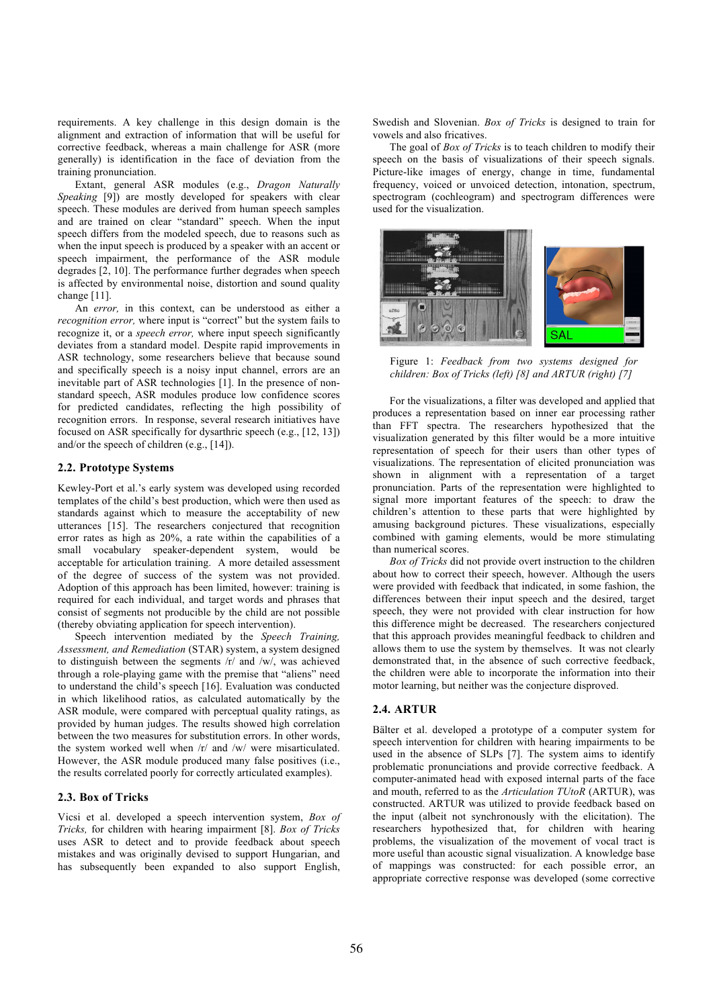requirements. A key challenge in this design domain is the alignment and extraction of information that will be useful for corrective feedback, whereas a main challenge for ASR (more generally) is identification in the face of deviation from the training pronunciation.

Extant, general ASR modules (e.g., *Dragon Naturally Speaking* [9]) are mostly developed for speakers with clear speech. These modules are derived from human speech samples and are trained on clear "standard" speech. When the input speech differs from the modeled speech, due to reasons such as when the input speech is produced by a speaker with an accent or speech impairment, the performance of the ASR module degrades [2, 10]. The performance further degrades when speech is affected by environmental noise, distortion and sound quality change [11].

An *error,* in this context, can be understood as either a *recognition error,* where input is "correct" but the system fails to recognize it, or a *speech error,* where input speech significantly deviates from a standard model. Despite rapid improvements in ASR technology, some researchers believe that because sound and specifically speech is a noisy input channel, errors are an inevitable part of ASR technologies [1]. In the presence of nonstandard speech, ASR modules produce low confidence scores for predicted candidates, reflecting the high possibility of recognition errors. In response, several research initiatives have focused on ASR specifically for dysarthric speech (e.g., [12, 13]) and/or the speech of children (e.g., [14]).

# **2.2. Prototype Systems**

Kewley-Port et al.'s early system was developed using recorded templates of the child's best production, which were then used as standards against which to measure the acceptability of new utterances [15]. The researchers conjectured that recognition error rates as high as 20%, a rate within the capabilities of a small vocabulary speaker-dependent system, would be acceptable for articulation training. A more detailed assessment of the degree of success of the system was not provided. Adoption of this approach has been limited, however: training is required for each individual, and target words and phrases that consist of segments not producible by the child are not possible (thereby obviating application for speech intervention).

Speech intervention mediated by the *Speech Training, Assessment, and Remediation* (STAR) system, a system designed to distinguish between the segments /r/ and /w/, was achieved through a role-playing game with the premise that "aliens" need to understand the child's speech [16]. Evaluation was conducted in which likelihood ratios, as calculated automatically by the ASR module, were compared with perceptual quality ratings, as provided by human judges. The results showed high correlation between the two measures for substitution errors. In other words, the system worked well when /r/ and /w/ were misarticulated. However, the ASR module produced many false positives (i.e., the results correlated poorly for correctly articulated examples).

### **2.3. Box of Tricks**

Vicsi et al. developed a speech intervention system, *Box of Tricks,* for children with hearing impairment [8]. *Box of Tricks* uses ASR to detect and to provide feedback about speech mistakes and was originally devised to support Hungarian, and has subsequently been expanded to also support English,

Swedish and Slovenian. *Box of Tricks* is designed to train for vowels and also fricatives.

The goal of *Box of Tricks* is to teach children to modify their speech on the basis of visualizations of their speech signals. Picture-like images of energy, change in time, fundamental frequency, voiced or unvoiced detection, intonation, spectrum, spectrogram (cochleogram) and spectrogram differences were used for the visualization.



Figure 1: *Feedback from two systems designed for children: Box of Tricks (left) [8] and ARTUR (right) [7]*

For the visualizations, a filter was developed and applied that produces a representation based on inner ear processing rather than FFT spectra. The researchers hypothesized that the visualization generated by this filter would be a more intuitive representation of speech for their users than other types of visualizations. The representation of elicited pronunciation was shown in alignment with a representation of a target pronunciation. Parts of the representation were highlighted to signal more important features of the speech: to draw the children's attention to these parts that were highlighted by amusing background pictures. These visualizations, especially combined with gaming elements, would be more stimulating than numerical scores.

*Box of Tricks* did not provide overt instruction to the children about how to correct their speech, however. Although the users were provided with feedback that indicated, in some fashion, the differences between their input speech and the desired, target speech, they were not provided with clear instruction for how this difference might be decreased. The researchers conjectured that this approach provides meaningful feedback to children and allows them to use the system by themselves. It was not clearly demonstrated that, in the absence of such corrective feedback, the children were able to incorporate the information into their motor learning, but neither was the conjecture disproved.

# **2.4. ARTUR**

Bälter et al. developed a prototype of a computer system for speech intervention for children with hearing impairments to be used in the absence of SLPs [7]. The system aims to identify problematic pronunciations and provide corrective feedback. A computer-animated head with exposed internal parts of the face and mouth, referred to as the *Articulation TUtoR* (ARTUR), was constructed. ARTUR was utilized to provide feedback based on the input (albeit not synchronously with the elicitation). The researchers hypothesized that, for children with hearing problems, the visualization of the movement of vocal tract is more useful than acoustic signal visualization. A knowledge base of mappings was constructed: for each possible error, an appropriate corrective response was developed (some corrective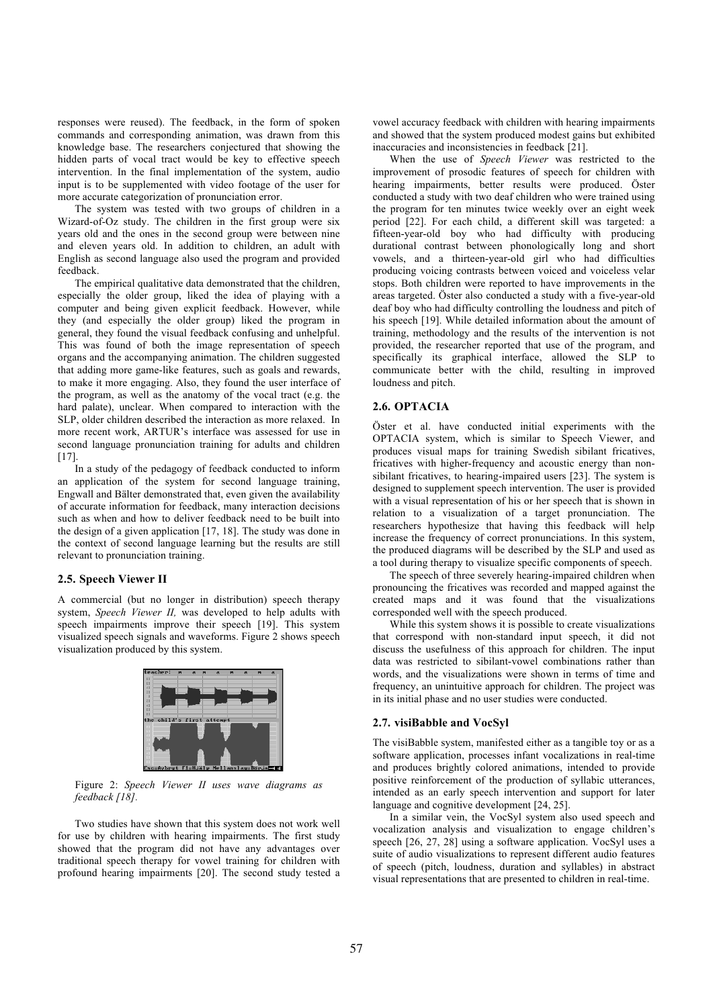responses were reused). The feedback, in the form of spoken commands and corresponding animation, was drawn from this knowledge base. The researchers conjectured that showing the hidden parts of vocal tract would be key to effective speech intervention. In the final implementation of the system, audio input is to be supplemented with video footage of the user for more accurate categorization of pronunciation error.

The system was tested with two groups of children in a Wizard-of-Oz study. The children in the first group were six years old and the ones in the second group were between nine and eleven years old. In addition to children, an adult with English as second language also used the program and provided feedback.

The empirical qualitative data demonstrated that the children, especially the older group, liked the idea of playing with a computer and being given explicit feedback. However, while they (and especially the older group) liked the program in general, they found the visual feedback confusing and unhelpful. This was found of both the image representation of speech organs and the accompanying animation. The children suggested that adding more game-like features, such as goals and rewards, to make it more engaging. Also, they found the user interface of the program, as well as the anatomy of the vocal tract (e.g. the hard palate), unclear. When compared to interaction with the SLP, older children described the interaction as more relaxed. In more recent work, ARTUR's interface was assessed for use in second language pronunciation training for adults and children [17].

In a study of the pedagogy of feedback conducted to inform an application of the system for second language training, Engwall and Bälter demonstrated that, even given the availability of accurate information for feedback, many interaction decisions such as when and how to deliver feedback need to be built into the design of a given application [17, 18]. The study was done in the context of second language learning but the results are still relevant to pronunciation training.

#### **2.5. Speech Viewer II**

A commercial (but no longer in distribution) speech therapy system, *Speech Viewer II,* was developed to help adults with speech impairments improve their speech [19]. This system visualized speech signals and waveforms. Figure 2 shows speech visualization produced by this system.



Figure 2: *Speech Viewer II uses wave diagrams as feedback [18].*

Two studies have shown that this system does not work well for use by children with hearing impairments. The first study showed that the program did not have any advantages over traditional speech therapy for vowel training for children with profound hearing impairments [20]. The second study tested a vowel accuracy feedback with children with hearing impairments and showed that the system produced modest gains but exhibited inaccuracies and inconsistencies in feedback [21].

When the use of *Speech Viewer* was restricted to the improvement of prosodic features of speech for children with hearing impairments, better results were produced. Öster conducted a study with two deaf children who were trained using the program for ten minutes twice weekly over an eight week period [22]. For each child, a different skill was targeted: a fifteen-year-old boy who had difficulty with producing durational contrast between phonologically long and short vowels, and a thirteen-year-old girl who had difficulties producing voicing contrasts between voiced and voiceless velar stops. Both children were reported to have improvements in the areas targeted. Öster also conducted a study with a five-year-old deaf boy who had difficulty controlling the loudness and pitch of his speech [19]. While detailed information about the amount of training, methodology and the results of the intervention is not provided, the researcher reported that use of the program, and specifically its graphical interface, allowed the SLP to communicate better with the child, resulting in improved loudness and pitch.

#### **2.6. OPTACIA**

Öster et al. have conducted initial experiments with the OPTACIA system, which is similar to Speech Viewer, and produces visual maps for training Swedish sibilant fricatives, fricatives with higher-frequency and acoustic energy than nonsibilant fricatives, to hearing-impaired users [23]. The system is designed to supplement speech intervention. The user is provided with a visual representation of his or her speech that is shown in relation to a visualization of a target pronunciation. The researchers hypothesize that having this feedback will help increase the frequency of correct pronunciations. In this system, the produced diagrams will be described by the SLP and used as a tool during therapy to visualize specific components of speech.

The speech of three severely hearing-impaired children when pronouncing the fricatives was recorded and mapped against the created maps and it was found that the visualizations corresponded well with the speech produced.

While this system shows it is possible to create visualizations that correspond with non-standard input speech, it did not discuss the usefulness of this approach for children. The input data was restricted to sibilant-vowel combinations rather than words, and the visualizations were shown in terms of time and frequency, an unintuitive approach for children. The project was in its initial phase and no user studies were conducted.

# **2.7. visiBabble and VocSyl**

The visiBabble system, manifested either as a tangible toy or as a software application, processes infant vocalizations in real-time and produces brightly colored animations, intended to provide positive reinforcement of the production of syllabic utterances, intended as an early speech intervention and support for later language and cognitive development [24, 25].

In a similar vein, the VocSyl system also used speech and vocalization analysis and visualization to engage children's speech [26, 27, 28] using a software application. VocSyl uses a suite of audio visualizations to represent different audio features of speech (pitch, loudness, duration and syllables) in abstract visual representations that are presented to children in real-time.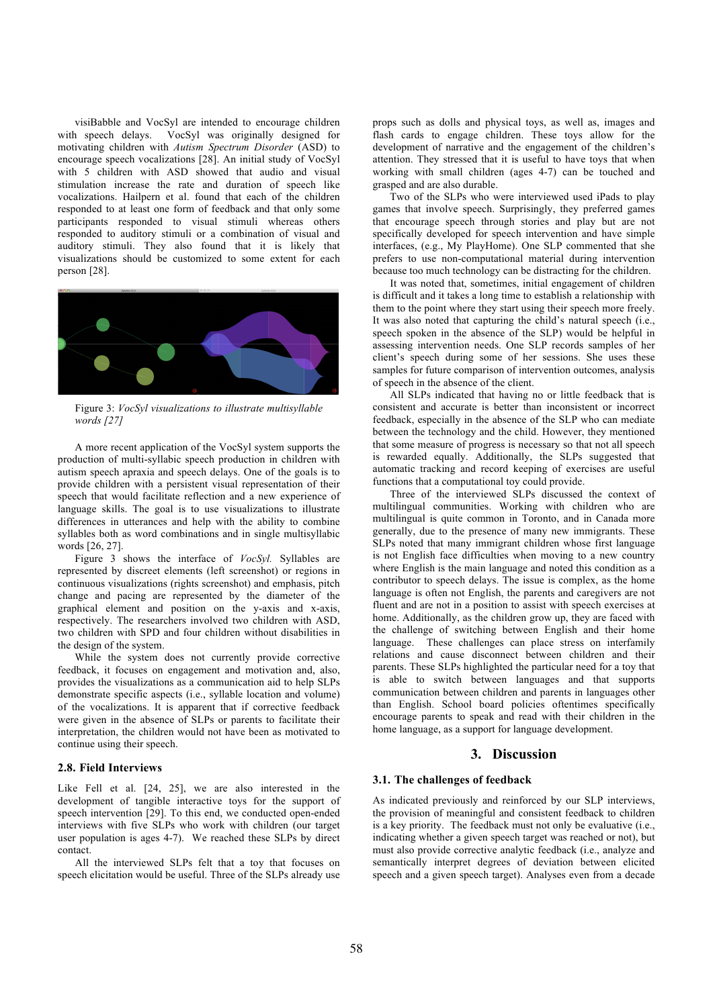visiBabble and VocSyl are intended to encourage children with speech delays. VocSyl was originally designed for motivating children with *Autism Spectrum Disorder* (ASD) to encourage speech vocalizations [28]. An initial study of VocSyl with 5 children with ASD showed that audio and visual stimulation increase the rate and duration of speech like vocalizations. Hailpern et al. found that each of the children responded to at least one form of feedback and that only some participants responded to visual stimuli whereas others responded to auditory stimuli or a combination of visual and auditory stimuli. They also found that it is likely that visualizations should be customized to some extent for each person [28].



Figure 3: *VocSyl visualizations to illustrate multisyllable words [27]*

A more recent application of the VocSyl system supports the production of multi-syllabic speech production in children with autism speech apraxia and speech delays. One of the goals is to provide children with a persistent visual representation of their speech that would facilitate reflection and a new experience of language skills. The goal is to use visualizations to illustrate differences in utterances and help with the ability to combine syllables both as word combinations and in single multisyllabic words [26, 27].

Figure 3 shows the interface of *VocSyl.* Syllables are represented by discreet elements (left screenshot) or regions in continuous visualizations (rights screenshot) and emphasis, pitch change and pacing are represented by the diameter of the graphical element and position on the y-axis and x-axis, respectively. The researchers involved two children with ASD, two children with SPD and four children without disabilities in the design of the system.

While the system does not currently provide corrective feedback, it focuses on engagement and motivation and, also, provides the visualizations as a communication aid to help SLPs demonstrate specific aspects (i.e., syllable location and volume) of the vocalizations. It is apparent that if corrective feedback were given in the absence of SLPs or parents to facilitate their interpretation, the children would not have been as motivated to continue using their speech.

#### **2.8. Field Interviews**

Like Fell et al. [24, 25], we are also interested in the development of tangible interactive toys for the support of speech intervention [29]. To this end, we conducted open-ended interviews with five SLPs who work with children (our target user population is ages 4-7). We reached these SLPs by direct contact.

All the interviewed SLPs felt that a toy that focuses on speech elicitation would be useful. Three of the SLPs already use props such as dolls and physical toys, as well as, images and flash cards to engage children. These toys allow for the development of narrative and the engagement of the children's attention. They stressed that it is useful to have toys that when working with small children (ages 4-7) can be touched and grasped and are also durable.

Two of the SLPs who were interviewed used iPads to play games that involve speech. Surprisingly, they preferred games that encourage speech through stories and play but are not specifically developed for speech intervention and have simple interfaces, (e.g., My PlayHome). One SLP commented that she prefers to use non-computational material during intervention because too much technology can be distracting for the children.

It was noted that, sometimes, initial engagement of children is difficult and it takes a long time to establish a relationship with them to the point where they start using their speech more freely. It was also noted that capturing the child's natural speech (i.e., speech spoken in the absence of the SLP) would be helpful in assessing intervention needs. One SLP records samples of her client's speech during some of her sessions. She uses these samples for future comparison of intervention outcomes, analysis of speech in the absence of the client.

All SLPs indicated that having no or little feedback that is consistent and accurate is better than inconsistent or incorrect feedback, especially in the absence of the SLP who can mediate between the technology and the child. However, they mentioned that some measure of progress is necessary so that not all speech is rewarded equally. Additionally, the SLPs suggested that automatic tracking and record keeping of exercises are useful functions that a computational toy could provide.

Three of the interviewed SLPs discussed the context of multilingual communities. Working with children who are multilingual is quite common in Toronto, and in Canada more generally, due to the presence of many new immigrants. These SLPs noted that many immigrant children whose first language is not English face difficulties when moving to a new country where English is the main language and noted this condition as a contributor to speech delays. The issue is complex, as the home language is often not English, the parents and caregivers are not fluent and are not in a position to assist with speech exercises at home. Additionally, as the children grow up, they are faced with the challenge of switching between English and their home language. These challenges can place stress on interfamily relations and cause disconnect between children and their parents. These SLPs highlighted the particular need for a toy that is able to switch between languages and that supports communication between children and parents in languages other than English. School board policies oftentimes specifically encourage parents to speak and read with their children in the home language, as a support for language development.

# **3. Discussion**

#### **3.1. The challenges of feedback**

As indicated previously and reinforced by our SLP interviews, the provision of meaningful and consistent feedback to children is a key priority. The feedback must not only be evaluative (i.e., indicating whether a given speech target was reached or not), but must also provide corrective analytic feedback (i.e., analyze and semantically interpret degrees of deviation between elicited speech and a given speech target). Analyses even from a decade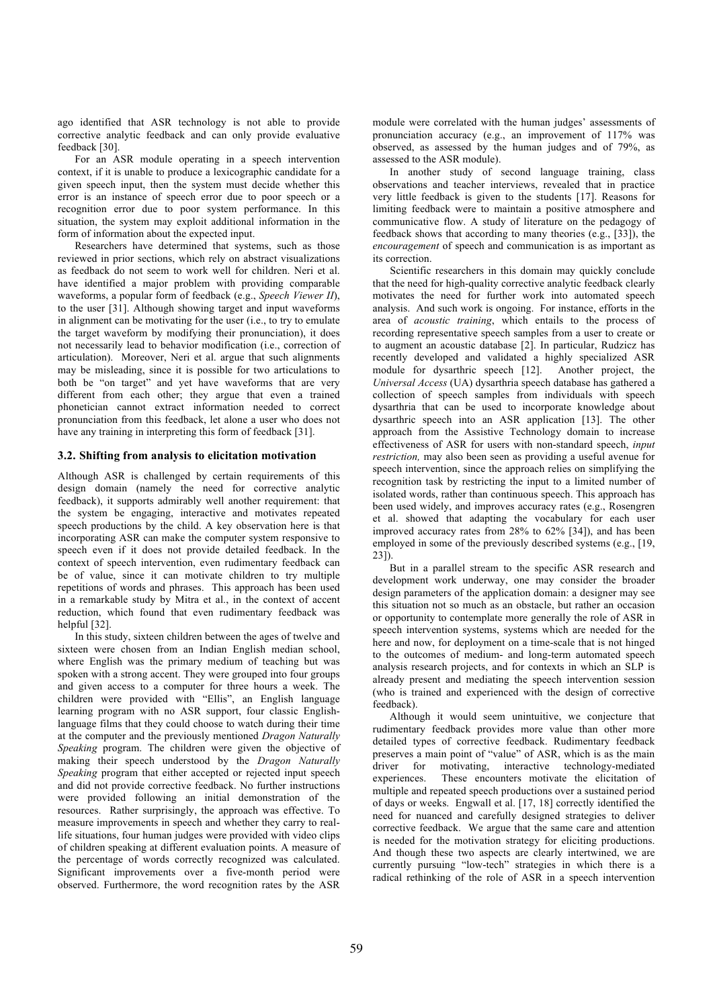ago identified that ASR technology is not able to provide corrective analytic feedback and can only provide evaluative feedback [30].

For an ASR module operating in a speech intervention context, if it is unable to produce a lexicographic candidate for a given speech input, then the system must decide whether this error is an instance of speech error due to poor speech or a recognition error due to poor system performance. In this situation, the system may exploit additional information in the form of information about the expected input.

Researchers have determined that systems, such as those reviewed in prior sections, which rely on abstract visualizations as feedback do not seem to work well for children. Neri et al. have identified a major problem with providing comparable waveforms, a popular form of feedback (e.g., *Speech Viewer II*), to the user [31]. Although showing target and input waveforms in alignment can be motivating for the user (i.e., to try to emulate the target waveform by modifying their pronunciation), it does not necessarily lead to behavior modification (i.e., correction of articulation). Moreover, Neri et al. argue that such alignments may be misleading, since it is possible for two articulations to both be "on target" and yet have waveforms that are very different from each other; they argue that even a trained phonetician cannot extract information needed to correct pronunciation from this feedback, let alone a user who does not have any training in interpreting this form of feedback [31].

# **3.2. Shifting from analysis to elicitation motivation**

Although ASR is challenged by certain requirements of this design domain (namely the need for corrective analytic feedback), it supports admirably well another requirement: that the system be engaging, interactive and motivates repeated speech productions by the child. A key observation here is that incorporating ASR can make the computer system responsive to speech even if it does not provide detailed feedback. In the context of speech intervention, even rudimentary feedback can be of value, since it can motivate children to try multiple repetitions of words and phrases. This approach has been used in a remarkable study by Mitra et al., in the context of accent reduction, which found that even rudimentary feedback was helpful [32].

In this study, sixteen children between the ages of twelve and sixteen were chosen from an Indian English median school, where English was the primary medium of teaching but was spoken with a strong accent. They were grouped into four groups and given access to a computer for three hours a week. The children were provided with "Ellis", an English language learning program with no ASR support, four classic Englishlanguage films that they could choose to watch during their time at the computer and the previously mentioned *Dragon Naturally Speaking* program. The children were given the objective of making their speech understood by the *Dragon Naturally Speaking* program that either accepted or rejected input speech and did not provide corrective feedback. No further instructions were provided following an initial demonstration of the resources. Rather surprisingly, the approach was effective. To measure improvements in speech and whether they carry to reallife situations, four human judges were provided with video clips of children speaking at different evaluation points. A measure of the percentage of words correctly recognized was calculated. Significant improvements over a five-month period were observed. Furthermore, the word recognition rates by the ASR module were correlated with the human judges' assessments of pronunciation accuracy (e.g., an improvement of 117% was observed, as assessed by the human judges and of 79%, as assessed to the ASR module).

In another study of second language training, class observations and teacher interviews, revealed that in practice very little feedback is given to the students [17]. Reasons for limiting feedback were to maintain a positive atmosphere and communicative flow. A study of literature on the pedagogy of feedback shows that according to many theories (e.g., [33]), the *encouragement* of speech and communication is as important as its correction.

Scientific researchers in this domain may quickly conclude that the need for high-quality corrective analytic feedback clearly motivates the need for further work into automated speech analysis. And such work is ongoing. For instance, efforts in the area of *acoustic training*, which entails to the process of recording representative speech samples from a user to create or to augment an acoustic database [2]. In particular, Rudzicz has recently developed and validated a highly specialized ASR module for dysarthric speech [12]. Another project, the module for dysarthric speech  $[12]$ . *Universal Access* (UA) dysarthria speech database has gathered a collection of speech samples from individuals with speech dysarthria that can be used to incorporate knowledge about dysarthric speech into an ASR application [13]. The other approach from the Assistive Technology domain to increase effectiveness of ASR for users with non-standard speech, *input restriction,* may also been seen as providing a useful avenue for speech intervention, since the approach relies on simplifying the recognition task by restricting the input to a limited number of isolated words, rather than continuous speech. This approach has been used widely, and improves accuracy rates (e.g., Rosengren et al. showed that adapting the vocabulary for each user improved accuracy rates from 28% to 62% [34]), and has been employed in some of the previously described systems (e.g., [19, 23]).

But in a parallel stream to the specific ASR research and development work underway, one may consider the broader design parameters of the application domain: a designer may see this situation not so much as an obstacle, but rather an occasion or opportunity to contemplate more generally the role of ASR in speech intervention systems, systems which are needed for the here and now, for deployment on a time-scale that is not hinged to the outcomes of medium- and long-term automated speech analysis research projects, and for contexts in which an SLP is already present and mediating the speech intervention session (who is trained and experienced with the design of corrective feedback).

Although it would seem unintuitive, we conjecture that rudimentary feedback provides more value than other more detailed types of corrective feedback. Rudimentary feedback preserves a main point of "value" of ASR, which is as the main driver for motivating, interactive technology-mediated experiences. These encounters motivate the elicitation of multiple and repeated speech productions over a sustained period of days or weeks. Engwall et al. [17, 18] correctly identified the need for nuanced and carefully designed strategies to deliver corrective feedback. We argue that the same care and attention is needed for the motivation strategy for eliciting productions. And though these two aspects are clearly intertwined, we are currently pursuing "low-tech" strategies in which there is a radical rethinking of the role of ASR in a speech intervention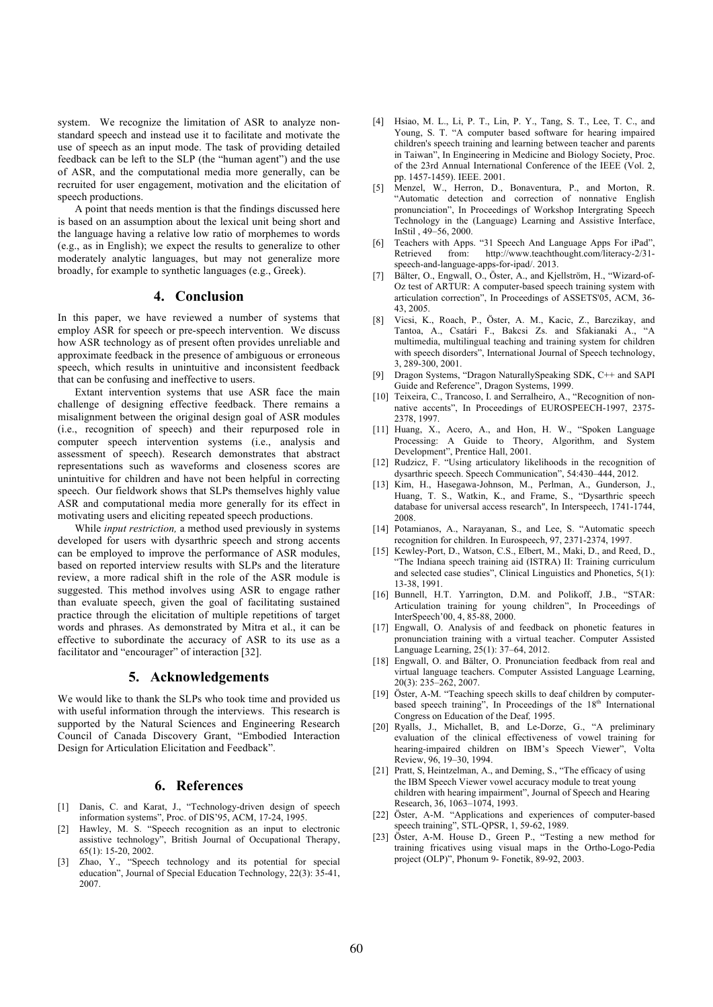system. We recognize the limitation of ASR to analyze nonstandard speech and instead use it to facilitate and motivate the use of speech as an input mode. The task of providing detailed feedback can be left to the SLP (the "human agent") and the use of ASR, and the computational media more generally, can be recruited for user engagement, motivation and the elicitation of speech productions.

A point that needs mention is that the findings discussed here is based on an assumption about the lexical unit being short and the language having a relative low ratio of morphemes to words (e.g., as in English); we expect the results to generalize to other moderately analytic languages, but may not generalize more broadly, for example to synthetic languages (e.g., Greek).

# **4. Conclusion**

In this paper, we have reviewed a number of systems that employ ASR for speech or pre-speech intervention. We discuss how ASR technology as of present often provides unreliable and approximate feedback in the presence of ambiguous or erroneous speech, which results in unintuitive and inconsistent feedback that can be confusing and ineffective to users.

Extant intervention systems that use ASR face the main challenge of designing effective feedback. There remains a misalignment between the original design goal of ASR modules (i.e., recognition of speech) and their repurposed role in computer speech intervention systems (i.e., analysis and assessment of speech). Research demonstrates that abstract representations such as waveforms and closeness scores are unintuitive for children and have not been helpful in correcting speech. Our fieldwork shows that SLPs themselves highly value ASR and computational media more generally for its effect in motivating users and eliciting repeated speech productions.

While *input restriction,* a method used previously in systems developed for users with dysarthric speech and strong accents can be employed to improve the performance of ASR modules, based on reported interview results with SLPs and the literature review, a more radical shift in the role of the ASR module is suggested. This method involves using ASR to engage rather than evaluate speech, given the goal of facilitating sustained practice through the elicitation of multiple repetitions of target words and phrases. As demonstrated by Mitra et al., it can be effective to subordinate the accuracy of ASR to its use as a facilitator and "encourager" of interaction [32].

# **5. Acknowledgements**

We would like to thank the SLPs who took time and provided us with useful information through the interviews. This research is supported by the Natural Sciences and Engineering Research Council of Canada Discovery Grant, "Embodied Interaction Design for Articulation Elicitation and Feedback".

# **6. References**

- [1] Danis, C. and Karat, J., "Technology-driven design of speech information systems", Proc. of DIS'95, ACM, 17-24, 1995.
- [2] Hawley, M. S. "Speech recognition as an input to electronic assistive technology", British Journal of Occupational Therapy, 65(1): 15-20, 2002.
- Zhao, Y., "Speech technology and its potential for special education", Journal of Special Education Technology, 22(3): 35-41, 2007.
- [4] Hsiao, M. L., Li, P. T., Lin, P. Y., Tang, S. T., Lee, T. C., and Young, S. T. "A computer based software for hearing impaired children's speech training and learning between teacher and parents in Taiwan", In Engineering in Medicine and Biology Society, Proc. of the 23rd Annual International Conference of the IEEE (Vol. 2, pp. 1457-1459). IEEE. 2001.
- [5] Menzel, W., Herron, D., Bonaventura, P., and Morton, R. "Automatic detection and correction of nonnative English pronunciation", In Proceedings of Workshop Intergrating Speech Technology in the (Language) Learning and Assistive Interface, InStil , 49–56, 2000.
- [6] Teachers with Apps. "31 Speech And Language Apps For iPad", Retrieved from: http://www.teachthought.com/literacy-2/31speech-and-language-apps-for-ipad/. 2013.
- [7] Bälter, O., Engwall, O., Öster, A., and Kjellström, H., "Wizard-of-Oz test of ARTUR: A computer-based speech training system with articulation correction", In Proceedings of ASSETS'05, ACM, 36- 43, 2005.
- [8] Vicsi, K., Roach, P., Öster, A. M., Kacic, Z., Barczikay, and Tantoa, A., Csatári F., Bakcsi Zs. and Sfakianaki A., "A multimedia, multilingual teaching and training system for children with speech disorders", International Journal of Speech technology, 3, 289-300, 2001.
- [9] Dragon Systems, "Dragon NaturallySpeaking SDK, C++ and SAPI Guide and Reference", Dragon Systems, 1999.
- [10] Teixeira, C., Trancoso, I. and Serralheiro, A., "Recognition of nonnative accents", In Proceedings of EUROSPEECH-1997, 2375- 2378, 1997.
- [11] Huang, X., Acero, A., and Hon, H. W., "Spoken Language Processing: A Guide to Theory, Algorithm, and System Development", Prentice Hall, 2001.
- [12] Rudzicz, F. "Using articulatory likelihoods in the recognition of dysarthric speech. Speech Communication", 54:430–444, 2012.
- [13] Kim, H., Hasegawa-Johnson, M., Perlman, A., Gunderson, J., Huang, T. S., Watkin, K., and Frame, S., "Dysarthric speech database for universal access research", In Interspeech, 1741-1744, 2008.
- [14] Potamianos, A., Narayanan, S., and Lee, S. "Automatic speech recognition for children. In Eurospeech, 97, 2371-2374, 1997.
- [15] Kewley-Port, D., Watson, C.S., Elbert, M., Maki, D., and Reed, D., "The Indiana speech training aid (ISTRA) II: Training curriculum and selected case studies", Clinical Linguistics and Phonetics, 5(1): 13-38, 1991.
- [16] Bunnell, H.T. Yarrington, D.M. and Polikoff, J.B., "STAR: Articulation training for young children", In Proceedings of InterSpeech'00, 4, 85-88, 2000.
- [17] Engwall, O. Analysis of and feedback on phonetic features in pronunciation training with a virtual teacher. Computer Assisted Language Learning, 25(1): 37–64, 2012.
- [18] Engwall, O. and Bälter, O. Pronunciation feedback from real and virtual language teachers. Computer Assisted Language Learning, 20(3): 235–262, 2007.
- [19] Öster, A-M. "Teaching speech skills to deaf children by computerbased speech training", In Proceedings of the  $18<sup>th</sup>$  International Congress on Education of the Deaf*,* 1995.
- [20] Ryalls, J., Michallet, B, and Le-Dorze, G., "A preliminary evaluation of the clinical effectiveness of vowel training for hearing-impaired children on IBM's Speech Viewer", Volta Review, 96, 19–30, 1994.
- [21] Pratt, S, Heintzelman, A., and Deming, S., "The efficacy of using the IBM Speech Viewer vowel accuracy module to treat young children with hearing impairment", Journal of Speech and Hearing Research, 36, 1063–1074, 1993.
- [22] Öster, A-M. "Applications and experiences of computer-based speech training", STL-QPSR, 1, 59-62, 1989.
- [23] Öster, A-M. House D., Green P., "Testing a new method for training fricatives using visual maps in the Ortho-Logo-Pedia project (OLP)", Phonum 9- Fonetik, 89-92, 2003.